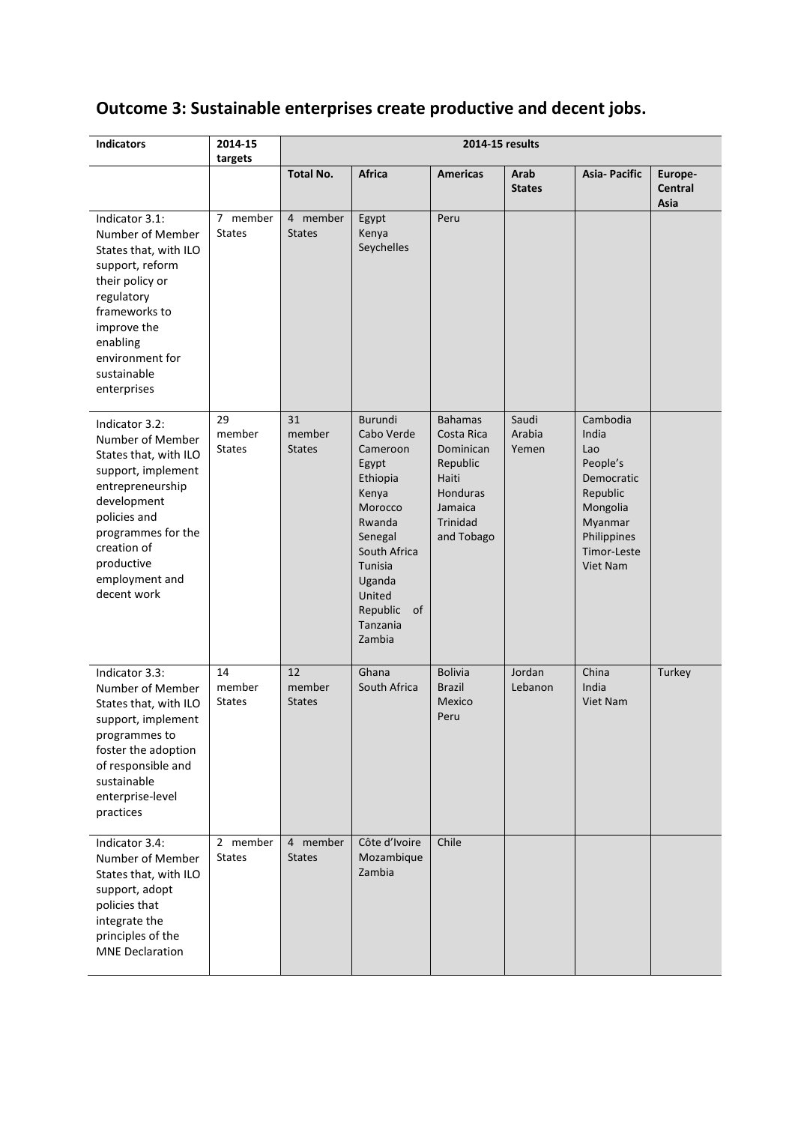# **Outcome 3: Sustainable enterprises create productive and decent jobs.**

| <b>Indicators</b>                                                                                                                                                                                                        | 2014-15<br>targets            | 2014-15 results               |                                                                                                                                                                                        |                                                                                                                        |                          |                                                                                                                                 |                                   |
|--------------------------------------------------------------------------------------------------------------------------------------------------------------------------------------------------------------------------|-------------------------------|-------------------------------|----------------------------------------------------------------------------------------------------------------------------------------------------------------------------------------|------------------------------------------------------------------------------------------------------------------------|--------------------------|---------------------------------------------------------------------------------------------------------------------------------|-----------------------------------|
|                                                                                                                                                                                                                          |                               | <b>Total No.</b>              | <b>Africa</b>                                                                                                                                                                          | <b>Americas</b>                                                                                                        | Arab<br><b>States</b>    | <b>Asia-Pacific</b>                                                                                                             | Europe-<br><b>Central</b><br>Asia |
| Indicator 3.1:<br>Number of Member<br>States that, with ILO<br>support, reform<br>their policy or<br>regulatory<br>frameworks to<br>improve the<br>enabling<br>environment for<br>sustainable<br>enterprises             | 7 member<br><b>States</b>     | 4 member<br><b>States</b>     | Egypt<br>Kenya<br>Seychelles                                                                                                                                                           | Peru                                                                                                                   |                          |                                                                                                                                 |                                   |
| Indicator 3.2:<br>Number of Member<br>States that, with ILO<br>support, implement<br>entrepreneurship<br>development<br>policies and<br>programmes for the<br>creation of<br>productive<br>employment and<br>decent work | 29<br>member<br><b>States</b> | 31<br>member<br><b>States</b> | Burundi<br>Cabo Verde<br>Cameroon<br>Egypt<br>Ethiopia<br>Kenya<br>Morocco<br>Rwanda<br>Senegal<br>South Africa<br>Tunisia<br>Uganda<br>United<br>Republic<br>0f<br>Tanzania<br>Zambia | <b>Bahamas</b><br>Costa Rica<br>Dominican<br>Republic<br>Haiti<br><b>Honduras</b><br>Jamaica<br>Trinidad<br>and Tobago | Saudi<br>Arabia<br>Yemen | Cambodia<br>India<br>Lao<br>People's<br>Democratic<br>Republic<br>Mongolia<br>Myanmar<br>Philippines<br>Timor-Leste<br>Viet Nam |                                   |
| Indicator 3.3:<br>Number of Member<br>States that, with ILO<br>support, implement<br>programmes to<br>foster the adoption<br>of responsible and<br>sustainable<br>enterprise-level<br>practices                          | 14<br>member<br><b>States</b> | 12<br>member<br><b>States</b> | Ghana<br>South Africa                                                                                                                                                                  | <b>Bolivia</b><br><b>Brazil</b><br>Mexico<br>Peru                                                                      | Jordan<br>Lebanon        | China<br>India<br><b>Viet Nam</b>                                                                                               | Turkey                            |
| Indicator 3.4:<br>Number of Member<br>States that, with ILO<br>support, adopt<br>policies that<br>integrate the<br>principles of the<br><b>MNE Declaration</b>                                                           | 2 member<br><b>States</b>     | 4 member<br><b>States</b>     | Côte d'Ivoire<br>Mozambique<br>Zambia                                                                                                                                                  | Chile                                                                                                                  |                          |                                                                                                                                 |                                   |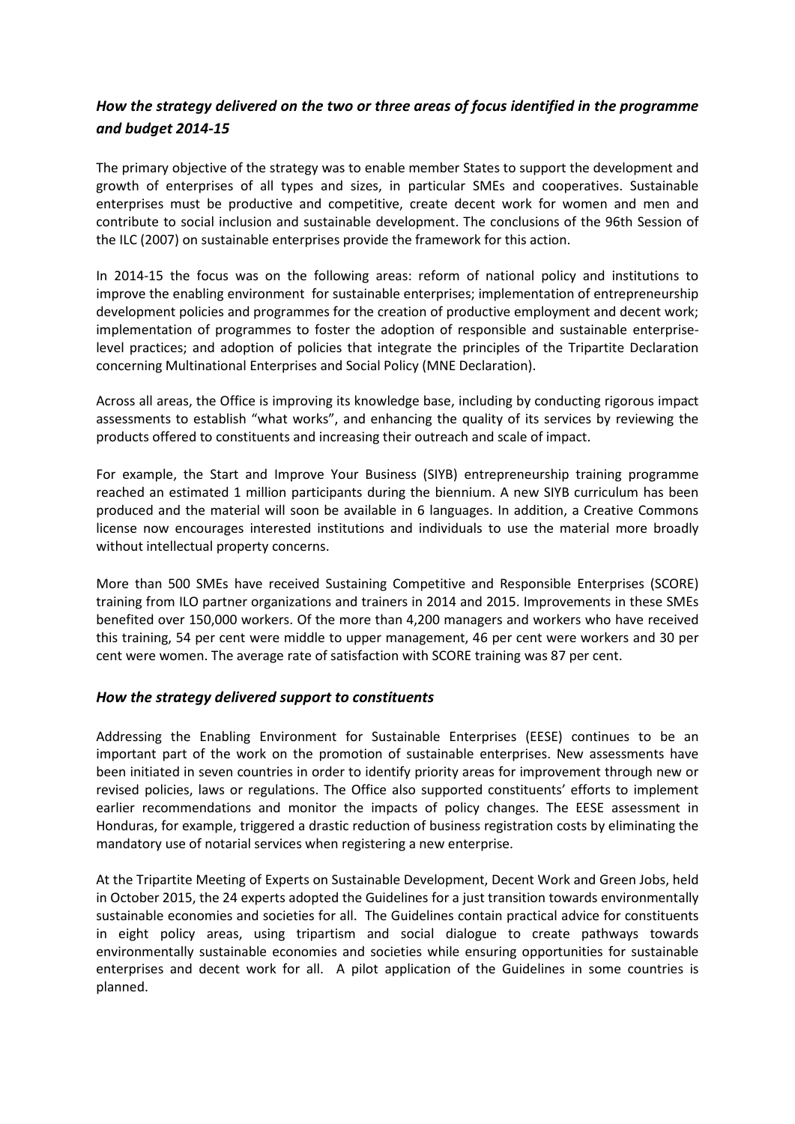## *How the strategy delivered on the two or three areas of focus identified in the programme and budget 2014-15*

The primary objective of the strategy was to enable member States to support the development and growth of enterprises of all types and sizes, in particular SMEs and cooperatives. Sustainable enterprises must be productive and competitive, create decent work for women and men and contribute to social inclusion and sustainable development. The conclusions of the 96th Session of the ILC (2007) on sustainable enterprises provide the framework for this action.

In 2014-15 the focus was on the following areas: reform of national policy and institutions to improve the enabling environment for sustainable enterprises; implementation of entrepreneurship development policies and programmes for the creation of productive employment and decent work; implementation of programmes to foster the adoption of responsible and sustainable enterpriselevel practices; and adoption of policies that integrate the principles of the Tripartite Declaration concerning Multinational Enterprises and Social Policy (MNE Declaration).

Across all areas, the Office is improving its knowledge base, including by conducting rigorous impact assessments to establish "what works", and enhancing the quality of its services by reviewing the products offered to constituents and increasing their outreach and scale of impact.

For example, the Start and Improve Your Business (SIYB) entrepreneurship training programme reached an estimated 1 million participants during the biennium. A new SIYB curriculum has been produced and the material will soon be available in 6 languages. In addition, a Creative Commons license now encourages interested institutions and individuals to use the material more broadly without intellectual property concerns.

More than 500 SMEs have received Sustaining Competitive and Responsible Enterprises (SCORE) training from ILO partner organizations and trainers in 2014 and 2015. Improvements in these SMEs benefited over 150,000 workers. Of the more than 4,200 managers and workers who have received this training, 54 per cent were middle to upper management, 46 per cent were workers and 30 per cent were women. The average rate of satisfaction with SCORE training was 87 per cent.

### *How the strategy delivered support to constituents*

Addressing the Enabling Environment for Sustainable Enterprises (EESE) continues to be an important part of the work on the promotion of sustainable enterprises. New assessments have been initiated in seven countries in order to identify priority areas for improvement through new or revised policies, laws or regulations. The Office also supported constituents' efforts to implement earlier recommendations and monitor the impacts of policy changes. The EESE assessment in Honduras, for example, triggered a drastic reduction of business registration costs by eliminating the mandatory use of notarial services when registering a new enterprise.

At the Tripartite Meeting of Experts on Sustainable Development, Decent Work and Green Jobs, held in October 2015, the 24 experts adopted the Guidelines for a just transition towards environmentally sustainable economies and societies for all. The Guidelines contain practical advice for constituents in eight policy areas, using tripartism and social dialogue to create pathways towards environmentally sustainable economies and societies while ensuring opportunities for sustainable enterprises and decent work for all. A pilot application of the Guidelines in some countries is planned.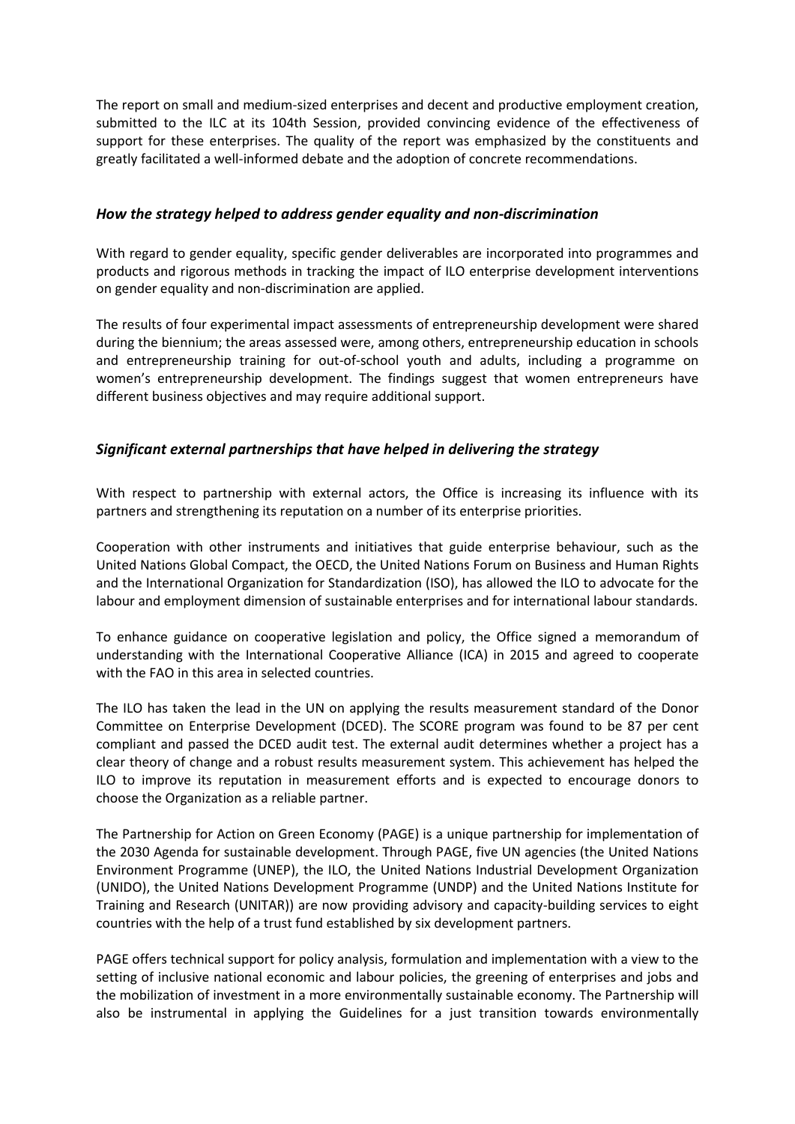The report on small and medium-sized enterprises and decent and productive employment creation, submitted to the ILC at its 104th Session, provided convincing evidence of the effectiveness of support for these enterprises. The quality of the report was emphasized by the constituents and greatly facilitated a well-informed debate and the adoption of concrete recommendations.

#### *How the strategy helped to address gender equality and non-discrimination*

With regard to gender equality, specific gender deliverables are incorporated into programmes and products and rigorous methods in tracking the impact of ILO enterprise development interventions on gender equality and non-discrimination are applied.

The results of four experimental impact assessments of entrepreneurship development were shared during the biennium; the areas assessed were, among others, entrepreneurship education in schools and entrepreneurship training for out-of-school youth and adults, including a programme on women's entrepreneurship development. The findings suggest that women entrepreneurs have different business objectives and may require additional support.

### *Significant external partnerships that have helped in delivering the strategy*

With respect to partnership with external actors, the Office is increasing its influence with its partners and strengthening its reputation on a number of its enterprise priorities.

Cooperation with other instruments and initiatives that guide enterprise behaviour, such as the United Nations Global Compact, the OECD, the United Nations Forum on Business and Human Rights and the International Organization for Standardization (ISO), has allowed the ILO to advocate for the labour and employment dimension of sustainable enterprises and for international labour standards.

To enhance guidance on cooperative legislation and policy, the Office signed a memorandum of understanding with the International Cooperative Alliance (ICA) in 2015 and agreed to cooperate with the FAO in this area in selected countries.

The ILO has taken the lead in the UN on applying the results measurement standard of the Donor Committee on Enterprise Development (DCED). The SCORE program was found to be 87 per cent compliant and passed the DCED audit test. The external audit determines whether a project has a clear theory of change and a robust results measurement system. This achievement has helped the ILO to improve its reputation in measurement efforts and is expected to encourage donors to choose the Organization as a reliable partner.

The Partnership for Action on Green Economy (PAGE) is a unique partnership for implementation of the 2030 Agenda for sustainable development. Through PAGE, five UN agencies (the United Nations Environment Programme (UNEP), the ILO, the United Nations Industrial Development Organization (UNIDO), the United Nations Development Programme (UNDP) and the United Nations Institute for Training and Research (UNITAR)) are now providing advisory and capacity-building services to eight countries with the help of a trust fund established by six development partners.

PAGE offers technical support for policy analysis, formulation and implementation with a view to the setting of inclusive national economic and labour policies, the greening of enterprises and jobs and the mobilization of investment in a more environmentally sustainable economy. The Partnership will also be instrumental in applying the Guidelines for a just transition towards environmentally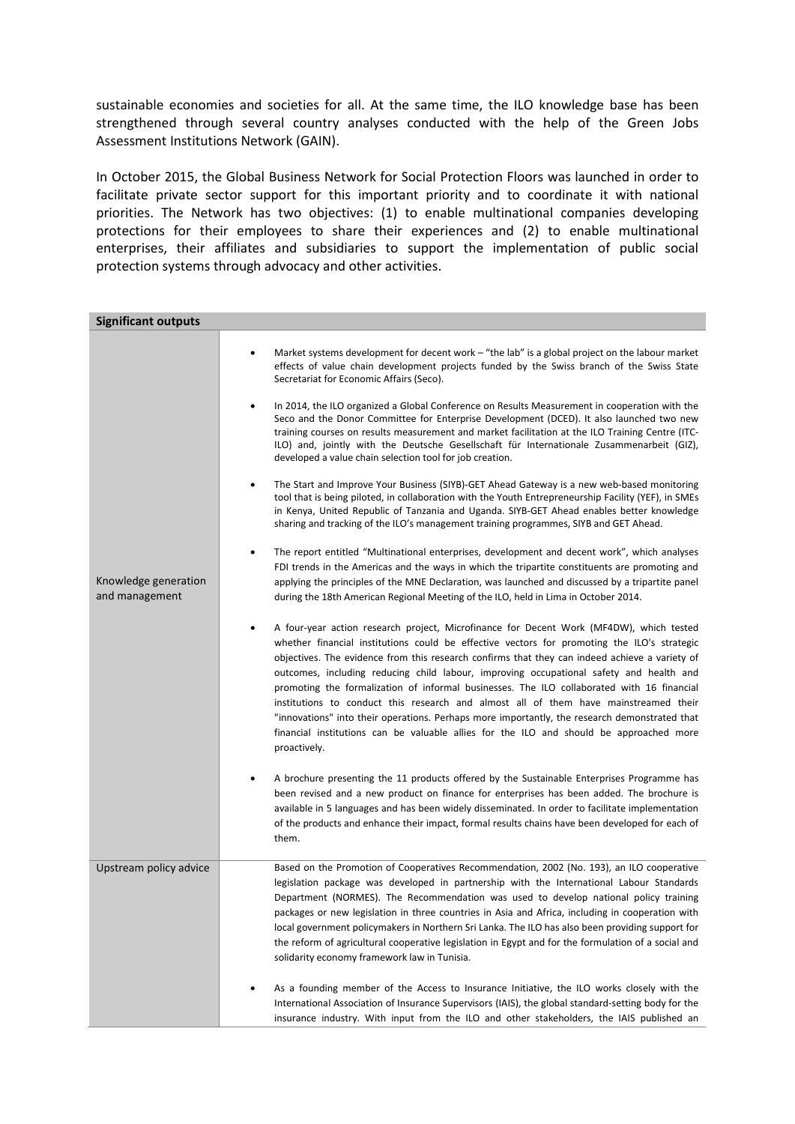sustainable economies and societies for all. At the same time, the ILO knowledge base has been strengthened through several country analyses conducted with the help of the Green Jobs Assessment Institutions Network (GAIN).

In October 2015, the Global Business Network for Social Protection Floors was launched in order to facilitate private sector support for this important priority and to coordinate it with national priorities. The Network has two objectives: (1) to enable multinational companies developing protections for their employees to share their experiences and (2) to enable multinational enterprises, their affiliates and subsidiaries to support the implementation of public social protection systems through advocacy and other activities.

| <b>Significant outputs</b>             |                                                                                                                                                                                                                                                                                                                                                                                                                                                                                                                                                                                                                                                                                                                                                                                       |
|----------------------------------------|---------------------------------------------------------------------------------------------------------------------------------------------------------------------------------------------------------------------------------------------------------------------------------------------------------------------------------------------------------------------------------------------------------------------------------------------------------------------------------------------------------------------------------------------------------------------------------------------------------------------------------------------------------------------------------------------------------------------------------------------------------------------------------------|
| Knowledge generation<br>and management | Market systems development for decent work – "the lab" is a global project on the labour market<br>effects of value chain development projects funded by the Swiss branch of the Swiss State<br>Secretariat for Economic Affairs (Seco).<br>In 2014, the ILO organized a Global Conference on Results Measurement in cooperation with the<br>٠<br>Seco and the Donor Committee for Enterprise Development (DCED). It also launched two new<br>training courses on results measurement and market facilitation at the ILO Training Centre (ITC-                                                                                                                                                                                                                                        |
|                                        | ILO) and, jointly with the Deutsche Gesellschaft für Internationale Zusammenarbeit (GIZ),<br>developed a value chain selection tool for job creation.<br>The Start and Improve Your Business (SIYB)-GET Ahead Gateway is a new web-based monitoring<br>tool that is being piloted, in collaboration with the Youth Entrepreneurship Facility (YEF), in SMEs<br>in Kenya, United Republic of Tanzania and Uganda. SIYB-GET Ahead enables better knowledge<br>sharing and tracking of the ILO's management training programmes, SIYB and GET Ahead.                                                                                                                                                                                                                                     |
|                                        | The report entitled "Multinational enterprises, development and decent work", which analyses<br>FDI trends in the Americas and the ways in which the tripartite constituents are promoting and<br>applying the principles of the MNE Declaration, was launched and discussed by a tripartite panel<br>during the 18th American Regional Meeting of the ILO, held in Lima in October 2014.                                                                                                                                                                                                                                                                                                                                                                                             |
|                                        | A four-year action research project, Microfinance for Decent Work (MF4DW), which tested<br>whether financial institutions could be effective vectors for promoting the ILO's strategic<br>objectives. The evidence from this research confirms that they can indeed achieve a variety of<br>outcomes, including reducing child labour, improving occupational safety and health and<br>promoting the formalization of informal businesses. The ILO collaborated with 16 financial<br>institutions to conduct this research and almost all of them have mainstreamed their<br>"innovations" into their operations. Perhaps more importantly, the research demonstrated that<br>financial institutions can be valuable allies for the ILO and should be approached more<br>proactively. |
|                                        | A brochure presenting the 11 products offered by the Sustainable Enterprises Programme has<br>been revised and a new product on finance for enterprises has been added. The brochure is<br>available in 5 languages and has been widely disseminated. In order to facilitate implementation<br>of the products and enhance their impact, formal results chains have been developed for each of<br>them.                                                                                                                                                                                                                                                                                                                                                                               |
| Upstream policy advice                 | Based on the Promotion of Cooperatives Recommendation, 2002 (No. 193), an ILO cooperative<br>legislation package was developed in partnership with the International Labour Standards<br>Department (NORMES). The Recommendation was used to develop national policy training<br>packages or new legislation in three countries in Asia and Africa, including in cooperation with<br>local government policymakers in Northern Sri Lanka. The ILO has also been providing support for<br>the reform of agricultural cooperative legislation in Egypt and for the formulation of a social and<br>solidarity economy framework law in Tunisia.                                                                                                                                          |
|                                        | As a founding member of the Access to Insurance Initiative, the ILO works closely with the<br>International Association of Insurance Supervisors (IAIS), the global standard-setting body for the<br>insurance industry. With input from the ILO and other stakeholders, the IAIS published an                                                                                                                                                                                                                                                                                                                                                                                                                                                                                        |